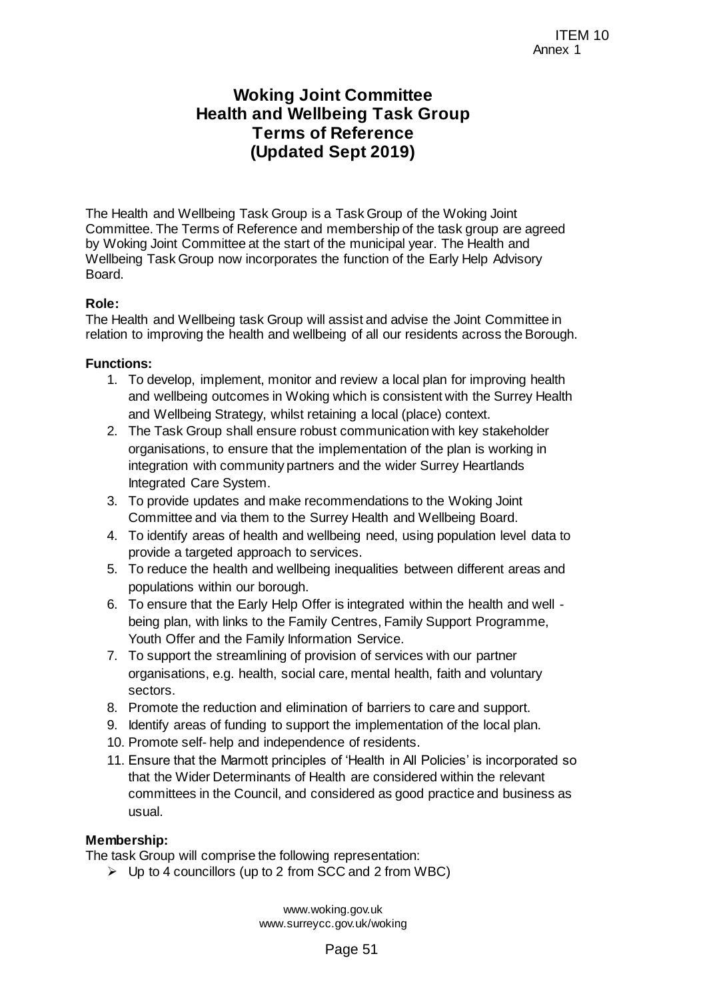# **Woking Joint Committee Health and Wellbeing Task Group Terms of Reference (Updated Sept 2019)**

The Health and Wellbeing Task Group is a Task Group of the Woking Joint Committee. The Terms of Reference and membership of the task group are agreed by Woking Joint Committee at the start of the municipal year. The Health and Wellbeing Task Group now incorporates the function of the Early Help Advisory Board. TEM 10<br>
ITEM 10<br>
Annex 1<br>
TEM 10<br>
Reference<br>
Sept 2019)<br>
a Task Group of the Woking Joint<br>
membership of the task group are agreed<br>
membicipal year. The Health and<br>
the function of the Early Help Advisory<br>
assist and advis

## **Role:**

The Health and Wellbeing task Group will assist and advise the Joint Committee in relation to improving the health and wellbeing of all our residents across the Borough.

#### **Functions:**

- 1. To develop, implement, monitor and review a local plan for improving health and wellbeing outcomes in Woking which is consistent with the Surrey Health and Wellbeing Strategy, whilst retaining a local (place) context.
- 2. The Task Group shall ensure robust communication with key stakeholder organisations, to ensure that the implementation of the plan is working in integration with community partners and the wider Surrey Heartlands Integrated Care System.
- 3. To provide updates and make recommendations to the Woking Joint Committee and via them to the Surrey Health and Wellbeing Board.
- 4. To identify areas of health and wellbeing need, using population level data to provide a targeted approach to services.
- 5. To reduce the health and wellbeing inequalities between different areas and populations within our borough.
- 6. To ensure that the Early Help Offer is integrated within the health and well being plan, with links to the Family Centres, Family Support Programme, Youth Offer and the Family Information Service.
- 7. To support the streamlining of provision of services with our partner organisations, e.g. health, social care, mental health, faith and voluntary sectors.
- 8. Promote the reduction and elimination of barriers to care and support.
- 9. Identify areas of funding to support the implementation of the local plan.
- 10. Promote self- help and independence of residents.
- 11. Ensure that the Marmott principles of 'Health in All Policies' is incorporated so that the Wider Determinants of Health are considered within the relevant committees in the Council, and considered as good practice and business as usual.

#### **Membership:**

The task Group will comprise the following representation:

 $\triangleright$  Up to 4 councillors (up to 2 from SCC and 2 from WBC)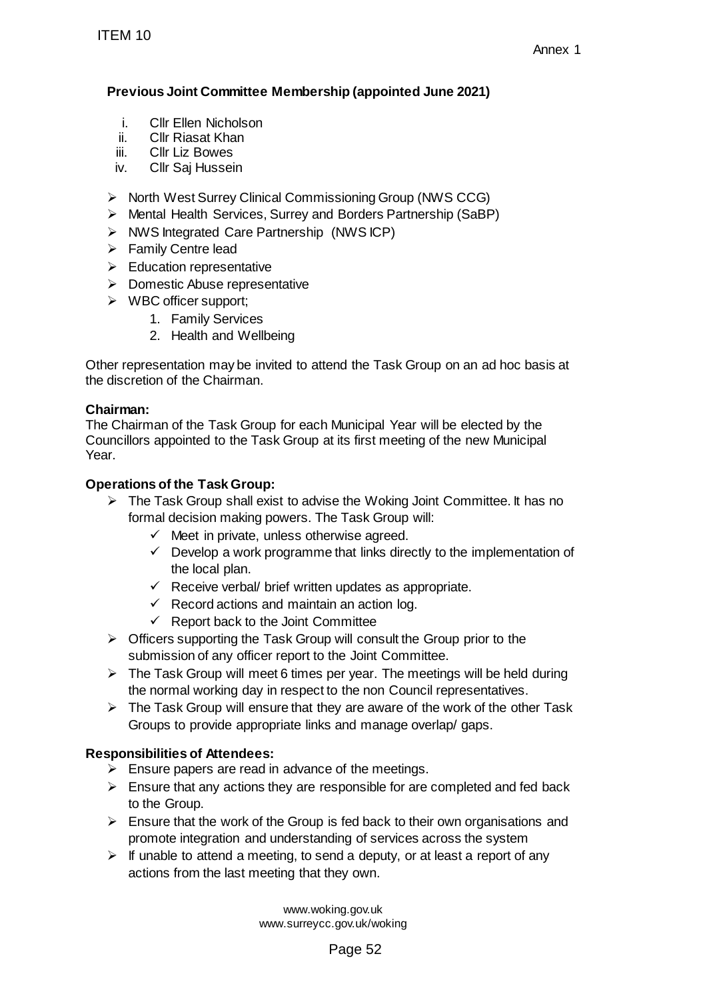# **Previous Joint Committee Membership (appointed June 2021)**

- i. Cllr Ellen Nicholson
- ii. Cllr Riasat Khan<br>iii. Cllr Liz Bowes
- **Cllr Liz Bowes**
- iv. Cllr Saj Hussein
- ▶ North West Surrey Clinical Commissioning Group (NWS CCG)
- Mental Health Services, Surrey and Borders Partnership (SaBP)
- $\triangleright$  NWS Integrated Care Partnership (NWS ICP)
- $\triangleright$  Family Centre lead
- $\triangleright$  Education representative
- $\triangleright$  Domestic Abuse representative
- $\triangleright$  WBC officer support;
	- 1. Family Services
	- 2. Health and Wellbeing

Other representation may be invited to attend the Task Group on an ad hoc basis at the discretion of the Chairman.

# **Chairman:**

The Chairman of the Task Group for each Municipal Year will be elected by the Councillors appointed to the Task Group at its first meeting of the new Municipal Year. ITEM 10<br>
Previous Joint Committee Membership (app<br>
i. ClIr Ellen Nicholson<br>
ii. ClIr Riasat Khan<br>
iii. ClIr Riasat Khan<br>
iii. ClIr Riasat Khan<br>
Xhout West Surrey Clinical Commissioning<br>
> Montal Health Services, Surrey an

## **Operations of the Task Group:**

- $\triangleright$  The Task Group shall exist to advise the Woking Joint Committee. It has no formal decision making powers. The Task Group will:
	- $\checkmark$  Meet in private, unless otherwise agreed.
	- $\checkmark$  Develop a work programme that links directly to the implementation of the local plan.
	- $\checkmark$  Receive verbal/ brief written updates as appropriate.
	- $\checkmark$  Record actions and maintain an action log.
	- $\checkmark$  Report back to the Joint Committee
- $\triangleright$  Officers supporting the Task Group will consult the Group prior to the submission of any officer report to the Joint Committee.
- $\triangleright$  The Task Group will meet 6 times per year. The meetings will be held during the normal working day in respect to the non Council representatives.
- $\triangleright$  The Task Group will ensure that they are aware of the work of the other Task Groups to provide appropriate links and manage overlap/ gaps.

# **Responsibilities of Attendees:**

- $\triangleright$  Ensure papers are read in advance of the meetings.
- $\triangleright$  Ensure that any actions they are responsible for are completed and fed back to the Group.
- $\triangleright$  Ensure that the work of the Group is fed back to their own organisations and promote integration and understanding of services across the system
- $\triangleright$  If unable to attend a meeting, to send a deputy, or at least a report of any actions from the last meeting that they own.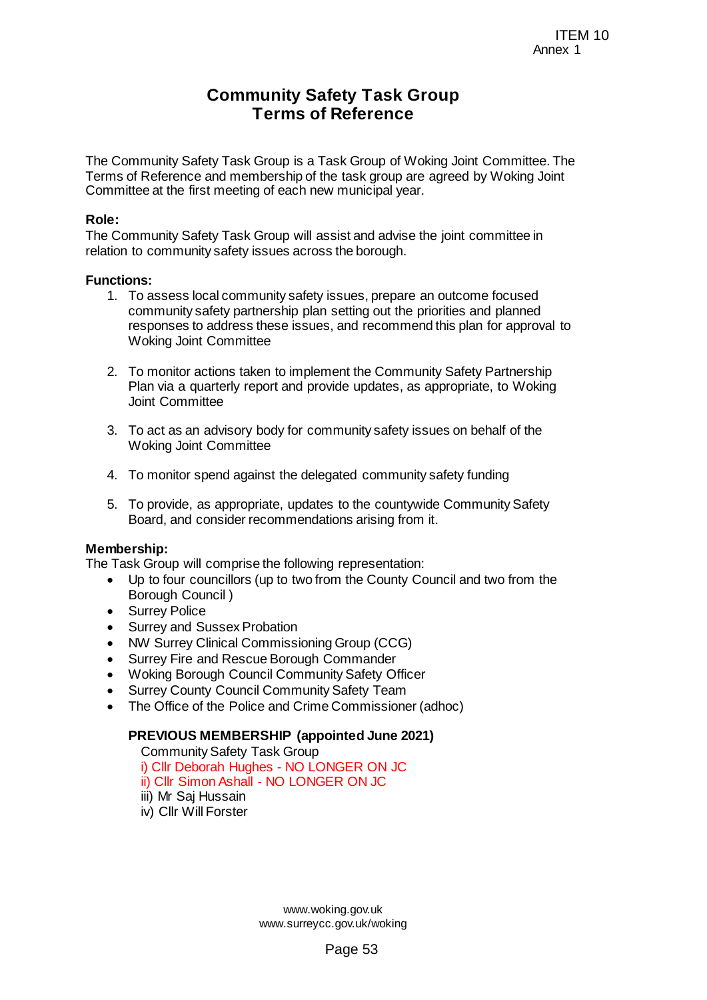# **Community Safety Task Group Terms of Reference**

The Community Safety Task Group is a Task Group of Woking Joint Committee. The Terms of Reference and membership of the task group are agreed by Woking Joint Committee at the first meeting of each new municipal year.

#### **Role:**

The Community Safety Task Group will assist and advise the joint committee in relation to community safety issues across the borough.

#### **Functions:**

- 1. To assess local community safety issues, prepare an outcome focused community safety partnership plan setting out the priorities and planned responses to address these issues, and recommend this plan for approval to Woking Joint Committee TEM 10<br>
TEM 10<br>
Reference<br>
ask Group of Woking Joint Committee. The<br>
task group are agreed by Woking Joint<br>
w municipal year.<br>
sistiand advise the joint committee in<br>
sistiand advise the joint committee in<br>
is the borough.
- 2. To monitor actions taken to implement the Community Safety Partnership Plan via a quarterly report and provide updates, as appropriate, to Woking Joint Committee
- 3. To act as an advisory body for community safety issues on behalf of the Woking Joint Committee
- 4. To monitor spend against the delegated community safety funding
- 5. To provide, as appropriate, updates to the countywide Community Safety Board, and consider recommendations arising from it.

#### **Membership:**

The Task Group will comprise the following representation:

- Up to four councillors (up to two from the County Council and two from the Borough Council )
- Surrey Police
- Surrey and Sussex Probation
- NW Surrey Clinical Commissioning Group (CCG)
- Surrey Fire and Rescue Borough Commander
- Woking Borough Council Community Safety Officer
- Surrey County Council Community Safety Team
- The Office of the Police and Crime Commissioner (adhoc)

### **PREVIOUS MEMBERSHIP (appointed June 2021)**

Community Safety Task Group

- i) Cllr Deborah Hughes NO LONGER ON JC
- ii) Cllr Simon Ashall NO LONGER ON JC
- iii) Mr Saj Hussain
- iv) Cllr Will Forster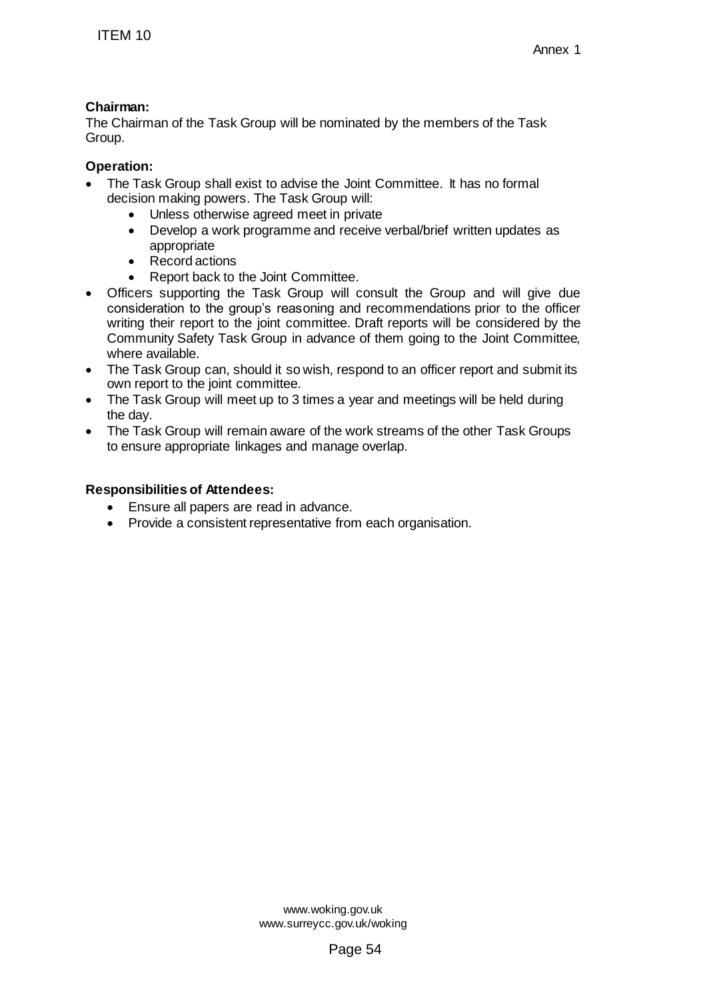## **Chairman:**

The Chairman of the Task Group will be nominated by the members of the Task Group.

## **Operation:**

- The Task Group shall exist to advise the Joint Committee. It has no formal decision making powers. The Task Group will:
	- Unless otherwise agreed meet in private
	- Develop a work programme and receive verbal/brief written updates as appropriate
	- Record actions
	- Report back to the Joint Committee.
- Officers supporting the Task Group will consult the Group and will give due consideration to the group's reasoning and recommendations prior to the officer writing their report to the joint committee. Draft reports will be considered by the Community Safety Task Group in advance of them going to the Joint Committee, where available. TTEM 10<br>
ITEM 10<br>
increase Chairman of the Task Group will be nominated<br>
echairman of the Task Group will be nominated<br>
oroup.<br>
oroup.<br>
decision making powers. The Task Group will:<br>
• Unless otherwise agreed meet in privat
- The Task Group can, should it so wish, respond to an officer report and submit its own report to the joint committee.
- The Task Group will meet up to 3 times a year and meetings will be held during the day.
- The Task Group will remain aware of the work streams of the other Task Groups to ensure appropriate linkages and manage overlap.

## **Responsibilities of Attendees:**

- Ensure all papers are read in advance.
- Provide a consistent representative from each organisation.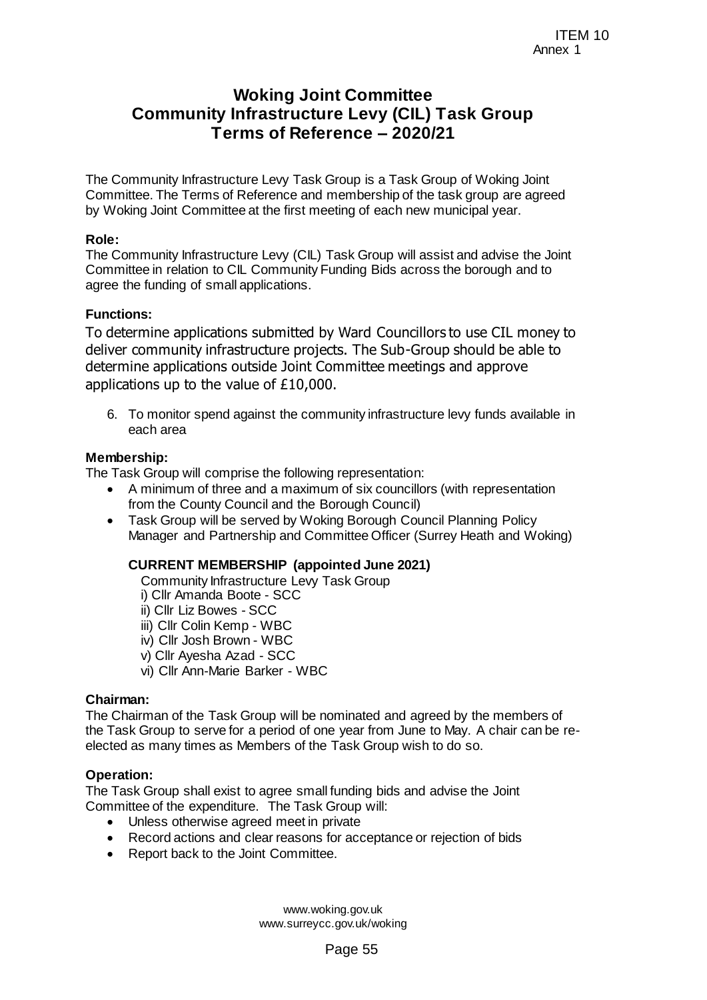# **Woking Joint Committee Community Infrastructure Levy (CIL) Task Group Terms of Reference – 2020/21**

The Community Infrastructure Levy Task Group is a Task Group of Woking Joint Committee. The Terms of Reference and membership of the task group are agreed by Woking Joint Committee at the first meeting of each new municipal year.

#### **Role:**

The Community Infrastructure Levy (CIL) Task Group will assist and advise the Joint Committee in relation to CIL Community Funding Bids across the borough and to agree the funding of small applications.

#### **Functions:**

To determine applications submitted by Ward Councillors to use CIL money to deliver community infrastructure projects. The Sub-Group should be able to determine applications outside Joint Committee meetings and approve applications up to the value of £10,000. ITEM 10<br>
ITEM 10<br>
ITEM 10<br> **Page 51**<br> **Page 10**<br> **Page 51**<br> **Page 51**<br> **Page 51**<br> **Page 51**<br> **Page 51**<br> **Page 61**<br> **Page 61**<br> **Page 51**<br> **Page 51**<br> **Page 51**<br> **Page 51**<br> **Page 51**<br> **Page 51**<br> **Page 51**<br> **Page 55**<br> **Page 55** 

6. To monitor spend against the community infrastructure levy funds available in each area

#### **Membership:**

The Task Group will comprise the following representation:

- A minimum of three and a maximum of six councillors (with representation from the County Council and the Borough Council)
- Task Group will be served by Woking Borough Council Planning Policy Manager and Partnership and Committee Officer (Surrey Heath and Woking)

## **CURRENT MEMBERSHIP (appointed June 2021)**

Community Infrastructure Levy Task Group i) Cllr Amanda Boote - SCC ii) Cllr Liz Bowes - SCC iii) Cllr Colin Kemp - WBC iv) Cllr Josh Brown - WBC v) Cllr Ayesha Azad - SCC vi) Cllr Ann-Marie Barker - WBC

#### **Chairman:**

The Chairman of the Task Group will be nominated and agreed by the members of the Task Group to serve for a period of one year from June to May. A chair can be reelected as many times as Members of the Task Group wish to do so.

#### **Operation:**

The Task Group shall exist to agree small funding bids and advise the Joint Committee of the expenditure. The Task Group will:

- Unless otherwise agreed meet in private
- Record actions and clear reasons for acceptance or rejection of bids
- Report back to the Joint Committee.